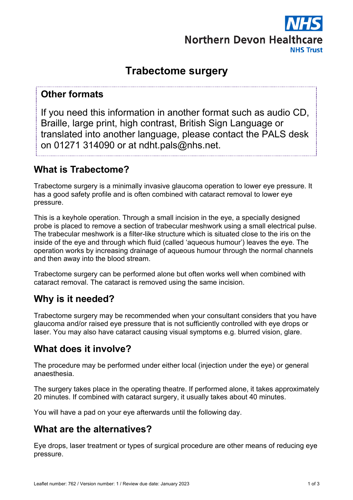

# **Trabectome surgery**

#### **Other formats**

If you need this information in another format such as audio CD, Braille, large print, high contrast, British Sign Language or translated into another language, please contact the PALS desk on 01271 314090 or at ndht.pals@nhs.net.

## **What is Trabectome?**

Trabectome surgery is a minimally invasive glaucoma operation to lower eye pressure. It has a good safety profile and is often combined with cataract removal to lower eye pressure.

This is a keyhole operation. Through a small incision in the eye, a specially designed probe is placed to remove a section of trabecular meshwork using a small electrical pulse. The trabecular meshwork is a filter-like structure which is situated close to the iris on the inside of the eye and through which fluid (called 'aqueous humour') leaves the eye. The operation works by increasing drainage of aqueous humour through the normal channels and then away into the blood stream.

Trabectome surgery can be performed alone but often works well when combined with cataract removal. The cataract is removed using the same incision.

## **Why is it needed?**

Trabectome surgery may be recommended when your consultant considers that you have glaucoma and/or raised eye pressure that is not sufficiently controlled with eye drops or laser. You may also have cataract causing visual symptoms e.g. blurred vision, glare.

## **What does it involve?**

The procedure may be performed under either local (injection under the eye) or general anaesthesia.

The surgery takes place in the operating theatre. If performed alone, it takes approximately 20 minutes. If combined with cataract surgery, it usually takes about 40 minutes.

You will have a pad on your eye afterwards until the following day.

## **What are the alternatives?**

Eye drops, laser treatment or types of surgical procedure are other means of reducing eye pressure.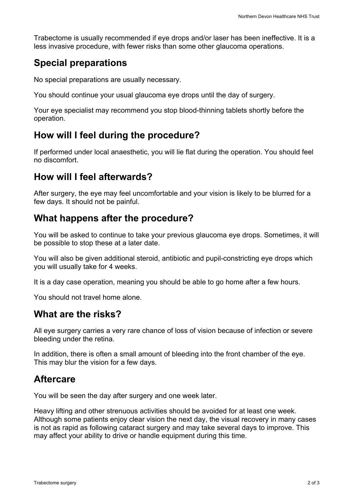Trabectome is usually recommended if eye drops and/or laser has been ineffective. It is a less invasive procedure, with fewer risks than some other glaucoma operations.

## **Special preparations**

No special preparations are usually necessary.

You should continue your usual glaucoma eye drops until the day of surgery.

Your eye specialist may recommend you stop blood-thinning tablets shortly before the operation.

## **How will I feel during the procedure?**

If performed under local anaesthetic, you will lie flat during the operation. You should feel no discomfort.

### **How will I feel afterwards?**

After surgery, the eye may feel uncomfortable and your vision is likely to be blurred for a few days. It should not be painful.

## **What happens after the procedure?**

You will be asked to continue to take your previous glaucoma eye drops. Sometimes, it will be possible to stop these at a later date.

You will also be given additional steroid, antibiotic and pupil-constricting eye drops which you will usually take for 4 weeks.

It is a day case operation, meaning you should be able to go home after a few hours.

You should not travel home alone.

#### **What are the risks?**

All eye surgery carries a very rare chance of loss of vision because of infection or severe bleeding under the retina.

In addition, there is often a small amount of bleeding into the front chamber of the eye. This may blur the vision for a few days.

### **Aftercare**

You will be seen the day after surgery and one week later.

Heavy lifting and other strenuous activities should be avoided for at least one week. Although some patients enjoy clear vision the next day, the visual recovery in many cases is not as rapid as following cataract surgery and may take several days to improve. This may affect your ability to drive or handle equipment during this time.